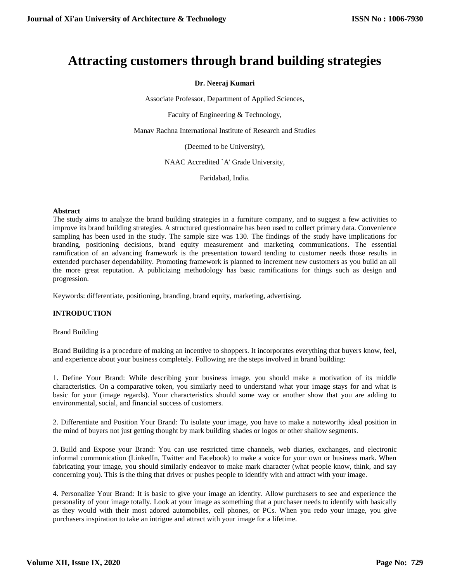# **Attracting customers through brand building strategies**

# **Dr. Neeraj Kumari**

Associate Professor, Department of Applied Sciences,

Faculty of Engineering & Technology,

Manav Rachna International Institute of Research and Studies

(Deemed to be University),

NAAC Accredited `A' Grade University,

Faridabad, India.

#### **Abstract**

The study aims to analyze the brand building strategies in a furniture company, and to suggest a few activities to improve its brand building strategies. A structured questionnaire has been used to collect primary data. Convenience sampling has been used in the study. The sample size was 130. The findings of the study have implications for branding, positioning decisions, brand equity measurement and marketing communications. The essential ramification of an advancing framework is the presentation toward tending to customer needs those results in extended purchaser dependability. Promoting framework is planned to increment new customers as you build an all the more great reputation. A publicizing methodology has basic ramifications for things such as design and progression.

Keywords: differentiate, positioning, branding, brand equity, marketing, advertising.

# **INTRODUCTION**

Brand Building

Brand Building is a procedure of making an incentive to shoppers. It incorporates everything that buyers know, feel, and experience about your business completely. Following are the steps involved in brand building:

1. Define Your Brand: While describing your business image, you should make a motivation of its middle characteristics. On a comparative token, you similarly need to understand what your image stays for and what is basic for your (image regards). Your characteristics should some way or another show that you are adding to environmental, social, and financial success of customers.

2. Differentiate and Position Your Brand: To isolate your image, you have to make a noteworthy ideal position in the mind of buyers not just getting thought by mark building shades or logos or other shallow segments.

3. Build and Expose your Brand: You can use restricted time channels, web diaries, exchanges, and electronic informal communication (LinkedIn, Twitter and Facebook) to make a voice for your own or business mark. When fabricating your image, you should similarly endeavor to make mark character (what people know, think, and say concerning you). This is the thing that drives or pushes people to identify with and attract with your image.

4. Personalize Your Brand: It is basic to give your image an identity. Allow purchasers to see and experience the personality of your image totally. Look at your image as something that a purchaser needs to identify with basically as they would with their most adored automobiles, cell phones, or PCs. When you redo your image, you give purchasers inspiration to take an intrigue and attract with your image for a lifetime.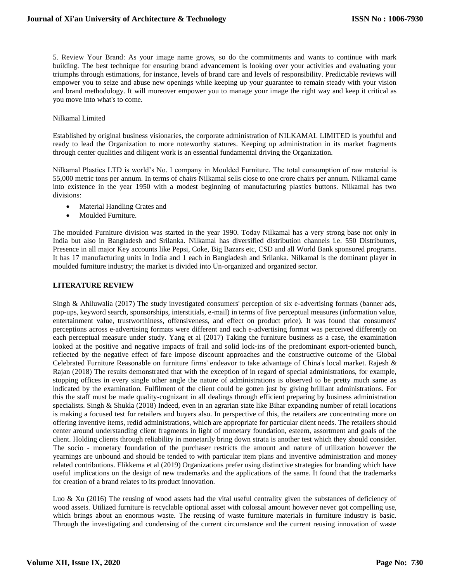5. Review Your Brand: As your image name grows, so do the commitments and wants to continue with mark building. The best technique for ensuring brand advancement is looking over your activities and evaluating your triumphs through estimations, for instance, levels of brand care and levels of responsibility. Predictable reviews will empower you to seize and abuse new openings while keeping up your guarantee to remain steady with your vision and brand methodology. It will moreover empower you to manage your image the right way and keep it critical as you move into what's to come.

#### Nilkamal Limited

Established by original business visionaries, the corporate administration of NILKAMAL LIMITED is youthful and ready to lead the Organization to more noteworthy statures. Keeping up administration in its market fragments through center qualities and diligent work is an essential fundamental driving the Organization.

Nilkamal Plastics LTD is world's No. I company in Moulded Furniture. The total consumption of raw material is 55,000 metric tons per annum. In terms of chairs Nilkamal sells close to one crore chairs per annum. Nilkamal came into existence in the year 1950 with a modest beginning of manufacturing plastics buttons. Nilkamal has two divisions:

- Material Handling Crates and
- Moulded Furniture.

The moulded Furniture division was started in the year 1990. Today Nilkamal has a very strong base not only in India but also in Bangladesh and Srilanka. Nilkamal has diversified distribution channels i.e. 550 Distributors, Presence in all major Key accounts like Pepsi, Coke, Big Bazars etc, CSD and all World Bank sponsored programs. It has 17 manufacturing units in India and 1 each in Bangladesh and Srilanka. Nilkamal is the dominant player in moulded furniture industry; the market is divided into Un-organized and organized sector.

#### **LITERATURE REVIEW**

Singh & Ahlluwalia (2017) The study investigated consumers' perception of six e-advertising formats (banner ads, pop-ups, keyword search, sponsorships, interstitials, e-mail) in terms of five perceptual measures (information value, entertainment value, trustworthiness, offensiveness, and effect on product price). It was found that consumers' perceptions across e-advertising formats were different and each e-advertising format was perceived differently on each perceptual measure under study. Yang et al (2017) Taking the furniture business as a case, the examination looked at the positive and negative impacts of frail and solid lock‐ins of the predominant export‐oriented bunch, reflected by the negative effect of fare impose discount approaches and the constructive outcome of the Global Celebrated Furniture Reasonable on furniture firms' endeavor to take advantage of China's local market. Rajesh & Rajan (2018) The results demonstrated that with the exception of in regard of special administrations, for example, stopping offices in every single other angle the nature of administrations is observed to be pretty much same as indicated by the examination. Fulfilment of the client could be gotten just by giving brilliant administrations. For this the staff must be made quality-cognizant in all dealings through efficient preparing by business administration specialists. Singh & Shukla (2018) Indeed, even in an agrarian state like Bihar expanding number of retail locations is making a focused test for retailers and buyers also. In perspective of this, the retailers are concentrating more on offering inventive items, redid administrations, which are appropriate for particular client needs. The retailers should center around understanding client fragments in light of monetary foundation, esteem, assortment and goals of the client. Holding clients through reliability in monetarily bring down strata is another test which they should consider. The socio - monetary foundation of the purchaser restricts the amount and nature of utilization however the yearnings are unbound and should be tended to with particular item plans and inventive administration and money related contributions. Flikkema et al (2019) Organizations prefer using distinctive strategies for branding which have useful implications on the design of new trademarks and the applications of the same. It found that the trademarks for creation of a brand relates to its product innovation.

Luo & Xu (2016) The reusing of wood assets had the vital useful centrality given the substances of deficiency of wood assets. Utilized furniture is recyclable optional asset with colossal amount however never got compelling use, which brings about an enormous waste. The reusing of waste furniture materials in furniture industry is basic. Through the investigating and condensing of the current circumstance and the current reusing innovation of waste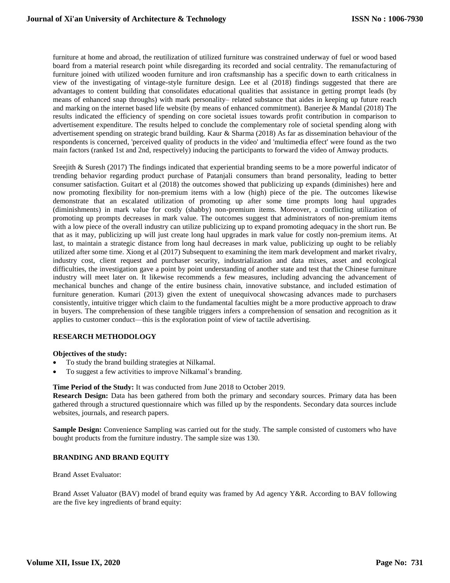furniture at home and abroad, the reutilization of utilized furniture was constrained underway of fuel or wood based board from a material research point while disregarding its recorded and social centrality. The remanufacturing of furniture joined with utilized wooden furniture and iron craftsmanship has a specific down to earth criticalness in view of the investigating of vintage-style furniture design. Lee et al (2018) findings suggested that there are advantages to content building that consolidates educational qualities that assistance in getting prompt leads (by means of enhanced snap throughs) with mark personality– related substance that aides in keeping up future reach and marking on the internet based life website (by means of enhanced commitment). Banerjee & Mandal (2018) The results indicated the efficiency of spending on core societal issues towards profit contribution in comparison to advertisement expenditure. The results helped to conclude the complementary role of societal spending along with advertisement spending on strategic brand building. Kaur & Sharma (2018) As far as dissemination behaviour of the respondents is concerned, 'perceived quality of products in the video' and 'multimedia effect' were found as the two main factors (ranked 1st and 2nd, respectively) inducing the participants to forward the video of Amway products.

Sreejith & Suresh (2017) The findings indicated that experiential branding seems to be a more powerful indicator of trending behavior regarding product purchase of Patanjali consumers than brand personality, leading to better consumer satisfaction. Guitart et al (2018) the outcomes showed that publicizing up expands (diminishes) here and now promoting flexibility for non-premium items with a low (high) piece of the pie. The outcomes likewise demonstrate that an escalated utilization of promoting up after some time prompts long haul upgrades (diminishments) in mark value for costly (shabby) non-premium items. Moreover, a conflicting utilization of promoting up prompts decreases in mark value. The outcomes suggest that administrators of non-premium items with a low piece of the overall industry can utilize publicizing up to expand promoting adequacy in the short run. Be that as it may, publicizing up will just create long haul upgrades in mark value for costly non-premium items. At last, to maintain a strategic distance from long haul decreases in mark value, publicizing up ought to be reliably utilized after some time. Xiong et al (2017) Subsequent to examining the item mark development and market rivalry, industry cost, client request and purchaser security, industrialization and data mixes, asset and ecological difficulties, the investigation gave a point by point understanding of another state and test that the Chinese furniture industry will meet later on. It likewise recommends a few measures, including advancing the advancement of mechanical bunches and change of the entire business chain, innovative substance, and included estimation of furniture generation. Kumari (2013) given the extent of unequivocal showcasing advances made to purchasers consistently, intuitive trigger which claim to the fundamental faculties might be a more productive approach to draw in buyers. The comprehension of these tangible triggers infers a comprehension of sensation and recognition as it applies to customer conduct—this is the exploration point of view of tactile advertising.

# **RESEARCH METHODOLOGY**

#### **Objectives of the study:**

- To study the brand building strategies at Nilkamal.
- To suggest a few activities to improve Nilkamal's branding.

#### **Time Period of the Study:** It was conducted from June 2018 to October 2019.

**Research Design:** Data has been gathered from both the primary and secondary sources. Primary data has been gathered through a structured questionnaire which was filled up by the respondents. Secondary data sources include websites, journals, and research papers.

**Sample Design:** Convenience Sampling was carried out for the study. The sample consisted of customers who have bought products from the furniture industry. The sample size was 130.

# **BRANDING AND BRAND EQUITY**

Brand Asset Evaluator:

Brand Asset Valuator (BAV) model of brand equity was framed by Ad agency Y&R. According to BAV following are the five key ingredients of brand equity: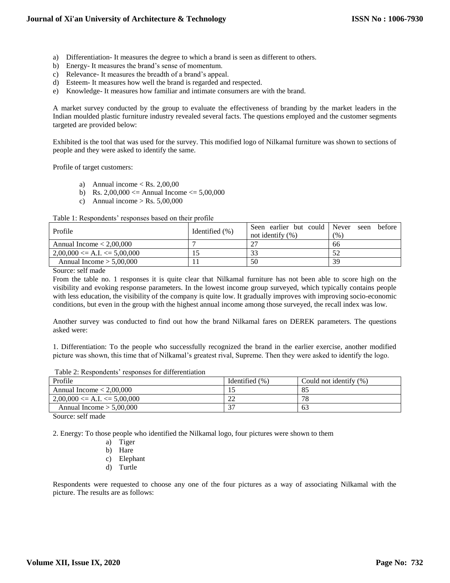- a) Differentiation- It measures the degree to which a brand is seen as different to others.
- b) Energy- It measures the brand's sense of momentum.
- c) Relevance- It measures the breadth of a brand's appeal.
- d) Esteem- It measures how well the brand is regarded and respected.
- e) Knowledge- It measures how familiar and intimate consumers are with the brand.

A market survey conducted by the group to evaluate the effectiveness of branding by the market leaders in the Indian moulded plastic furniture industry revealed several facts. The questions employed and the customer segments targeted are provided below:

Exhibited is the tool that was used for the survey. This modified logo of Nilkamal furniture was shown to sections of people and they were asked to identify the same.

Profile of target customers:

- a) Annual income  ${} < \text{Rs. } 2,00,00$
- b) Rs.  $2,00,000 \leq$  Annual Income  $\leq$  5,00,000
- c) Annual income  $>$  Rs. 5,00,000

Table 1: Respondents' responses based on their profile

| Profile                            | Identified (%) | Seen earlier but could Never seen<br>not identify $(\% )$ | before<br>(%) |
|------------------------------------|----------------|-----------------------------------------------------------|---------------|
| Annual Income $< 2,00,000$         |                |                                                           | 66            |
| $2,00,000 \leq A.I. \leq 5,00,000$ |                | າາ                                                        |               |
| Annual Income $> 5,00,000$         |                | 50                                                        | 39            |

Source: self made

From the table no. 1 responses it is quite clear that Nilkamal furniture has not been able to score high on the visibility and evoking response parameters. In the lowest income group surveyed, which typically contains people with less education, the visibility of the company is quite low. It gradually improves with improving socio-economic conditions, but even in the group with the highest annual income among those surveyed, the recall index was low.

Another survey was conducted to find out how the brand Nilkamal fares on DEREK parameters. The questions asked were:

1. Differentiation: To the people who successfully recognized the brand in the earlier exercise, another modified picture was shown, this time that of Nilkamal's greatest rival, Supreme. Then they were asked to identify the logo.

Table 2: Respondents' responses for differentiation

| Profile                            | Identified (%) | Could not identify $(\%)$ |
|------------------------------------|----------------|---------------------------|
| Annual Income $< 2,00,000$         |                | -85                       |
| $2,00,000 \leq A.I. \leq 5,00,000$ | $\cap$<br>∠∠   | 78                        |
| Annual Income $> 5,00,000$         | $\sim$         | 63                        |

Source: self made

2. Energy: To those people who identified the Nilkamal logo, four pictures were shown to them

- a) Tiger
- b) Hare
- c) Elephant
- d) Turtle

Respondents were requested to choose any one of the four pictures as a way of associating Nilkamal with the picture. The results are as follows: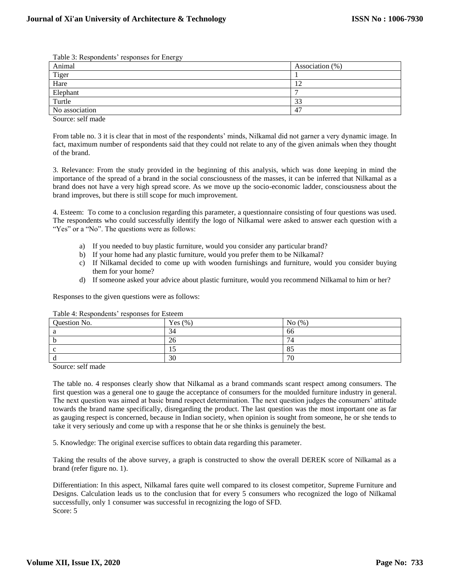| Table 5. Respondents Tesponses for Ellergy |                    |  |
|--------------------------------------------|--------------------|--|
| Animal                                     | Association $(\%)$ |  |
| Tiger                                      |                    |  |
| Hare                                       | n,                 |  |
| Elephant                                   |                    |  |
| Turtle                                     | $\sim$<br>33       |  |
| No association                             | 4 <sup>7</sup>     |  |

Table 3: Respondents' responses for Energy

Source: self made

From table no. 3 it is clear that in most of the respondents' minds, Nilkamal did not garner a very dynamic image. In fact, maximum number of respondents said that they could not relate to any of the given animals when they thought of the brand.

3. Relevance: From the study provided in the beginning of this analysis, which was done keeping in mind the importance of the spread of a brand in the social consciousness of the masses, it can be inferred that Nilkamal as a brand does not have a very high spread score. As we move up the socio-economic ladder, consciousness about the brand improves, but there is still scope for much improvement.

4. Esteem: To come to a conclusion regarding this parameter, a questionnaire consisting of four questions was used. The respondents who could successfully identify the logo of Nilkamal were asked to answer each question with a "Yes" or a "No". The questions were as follows:

- a) If you needed to buy plastic furniture, would you consider any particular brand?
- b) If your home had any plastic furniture, would you prefer them to be Nilkamal?
- c) If Nilkamal decided to come up with wooden furnishings and furniture, would you consider buying them for your home?
- d) If someone asked your advice about plastic furniture, would you recommend Nilkamal to him or her?

Responses to the given questions were as follows:

| Question No. | Yes $(\% )$ | No $(\% )$         |
|--------------|-------------|--------------------|
|              | 34          | 66                 |
|              | 26          | 74                 |
|              |             | $O \subset$<br>OJ. |
|              | 30          | 70                 |

Table 4: Respondents' responses for Esteem

Source: self made

The table no. 4 responses clearly show that Nilkamal as a brand commands scant respect among consumers. The first question was a general one to gauge the acceptance of consumers for the moulded furniture industry in general. The next question was aimed at basic brand respect determination. The next question judges the consumers' attitude towards the brand name specifically, disregarding the product. The last question was the most important one as far as gauging respect is concerned, because in Indian society, when opinion is sought from someone, he or she tends to take it very seriously and come up with a response that he or she thinks is genuinely the best.

5. Knowledge: The original exercise suffices to obtain data regarding this parameter.

Taking the results of the above survey, a graph is constructed to show the overall DEREK score of Nilkamal as a brand (refer figure no. 1).

Differentiation: In this aspect, Nilkamal fares quite well compared to its closest competitor, Supreme Furniture and Designs. Calculation leads us to the conclusion that for every 5 consumers who recognized the logo of Nilkamal successfully, only 1 consumer was successful in recognizing the logo of SFD. Score: 5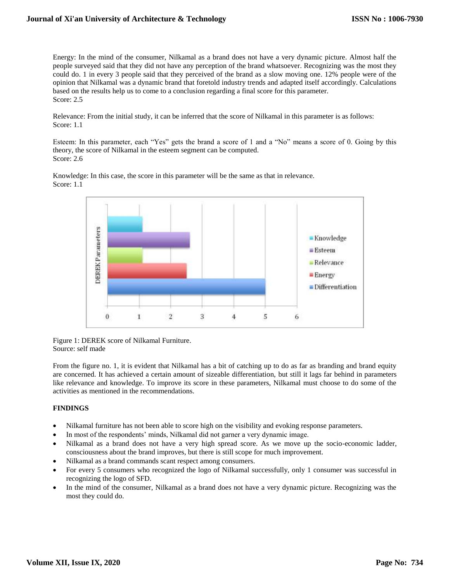Energy: In the mind of the consumer, Nilkamal as a brand does not have a very dynamic picture. Almost half the people surveyed said that they did not have any perception of the brand whatsoever. Recognizing was the most they could do. 1 in every 3 people said that they perceived of the brand as a slow moving one. 12% people were of the opinion that Nilkamal was a dynamic brand that foretold industry trends and adapted itself accordingly. Calculations based on the results help us to come to a conclusion regarding a final score for this parameter. Score: 2.5

Relevance: From the initial study, it can be inferred that the score of Nilkamal in this parameter is as follows: Score: 1.1

Esteem: In this parameter, each "Yes" gets the brand a score of 1 and a "No" means a score of 0. Going by this theory, the score of Nilkamal in the esteem segment can be computed. Score: 2.6

Knowledge: In this case, the score in this parameter will be the same as that in relevance. Score: 1.1



Figure 1: DEREK score of Nilkamal Furniture. Source: self made

From the figure no. 1, it is evident that Nilkamal has a bit of catching up to do as far as branding and brand equity are concerned. It has achieved a certain amount of sizeable differentiation, but still it lags far behind in parameters like relevance and knowledge. To improve its score in these parameters, Nilkamal must choose to do some of the activities as mentioned in the recommendations.

# **FINDINGS**

- Nilkamal furniture has not been able to score high on the visibility and evoking response parameters.
- In most of the respondents' minds, Nilkamal did not garner a very dynamic image.
- Nilkamal as a brand does not have a very high spread score. As we move up the socio-economic ladder, consciousness about the brand improves, but there is still scope for much improvement.
- Nilkamal as a brand commands scant respect among consumers.
- For every 5 consumers who recognized the logo of Nilkamal successfully, only 1 consumer was successful in recognizing the logo of SFD.
- In the mind of the consumer, Nilkamal as a brand does not have a very dynamic picture. Recognizing was the most they could do.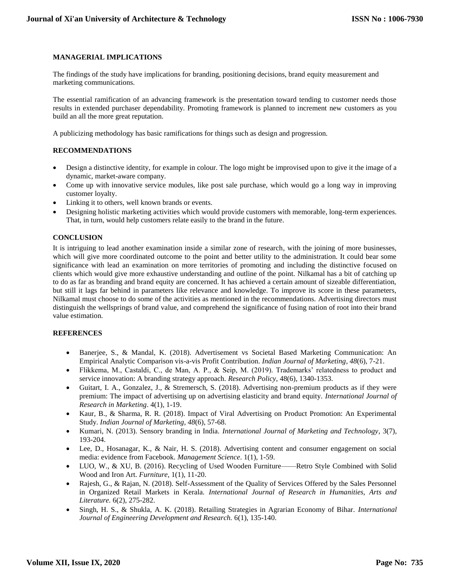# **MANAGERIAL IMPLICATIONS**

The findings of the study have implications for branding, positioning decisions, brand equity measurement and marketing communications.

The essential ramification of an advancing framework is the presentation toward tending to customer needs those results in extended purchaser dependability. Promoting framework is planned to increment new customers as you build an all the more great reputation.

A publicizing methodology has basic ramifications for things such as design and progression.

#### **RECOMMENDATIONS**

- Design a distinctive identity, for example in colour. The logo might be improvised upon to give it the image of a dynamic, market-aware company.
- Come up with innovative service modules, like post sale purchase, which would go a long way in improving customer loyalty.
- Linking it to others, well known brands or events.
- Designing holistic marketing activities which would provide customers with memorable, long-term experiences. That, in turn, would help customers relate easily to the brand in the future.

#### **CONCLUSION**

It is intriguing to lead another examination inside a similar zone of research, with the joining of more businesses, which will give more coordinated outcome to the point and better utility to the administration. It could bear some significance with lead an examination on more territories of promoting and including the distinctive focused on clients which would give more exhaustive understanding and outline of the point. Nilkamal has a bit of catching up to do as far as branding and brand equity are concerned. It has achieved a certain amount of sizeable differentiation, but still it lags far behind in parameters like relevance and knowledge. To improve its score in these parameters, Nilkamal must choose to do some of the activities as mentioned in the recommendations. Advertising directors must distinguish the wellsprings of brand value, and comprehend the significance of fusing nation of root into their brand value estimation.

#### **REFERENCES**

- Banerjee, S., & Mandal, K. (2018). Advertisement vs Societal Based Marketing Communication: An Empirical Analytic Comparison vis-a-vis Profit Contribution. *Indian Journal of Marketing*, *48*(6), 7-21.
- Flikkema, M., Castaldi, C., de Man, A. P., & Seip, M. (2019). Trademarks' relatedness to product and service innovation: A branding strategy approach. *Research Policy*, 48(6), 1340-1353.
- Guitart, I. A., Gonzalez, J., & Stremersch, S. (2018). Advertising non-premium products as if they were premium: The impact of advertising up on advertising elasticity and brand equity. *International Journal of Research in Marketing*. 4(1), 1-19.
- Kaur, B., & Sharma, R. R. (2018). Impact of Viral Advertising on Product Promotion: An Experimental Study. *Indian Journal of Marketing*, *48*(6), 57-68.
- Kumari, N. (2013). Sensory branding in India. *International Journal of Marketing and Technology*, 3(7), 193-204.
- Lee, D., Hosanagar, K., & Nair, H. S. (2018). Advertising content and consumer engagement on social media: evidence from Facebook. *Management Science*. 1(1), 1-59.
- LUO, W., & XU, B. (2016). Recycling of Used Wooden Furniture——Retro Style Combined with Solid Wood and Iron Art. *Furniture*, 1(1), 11-20.
- Rajesh, G., & Rajan, N. (2018). Self-Assessment of the Quality of Services Offered by the Sales Personnel in Organized Retail Markets in Kerala. *International Journal of Research in Humanities, Arts and Literature.* 6(2), 275-282.
- Singh, H. S., & Shukla, A. K. (2018). Retailing Strategies in Agrarian Economy of Bihar. *International Journal of Engineering Development and Research.* 6(1), 135-140.